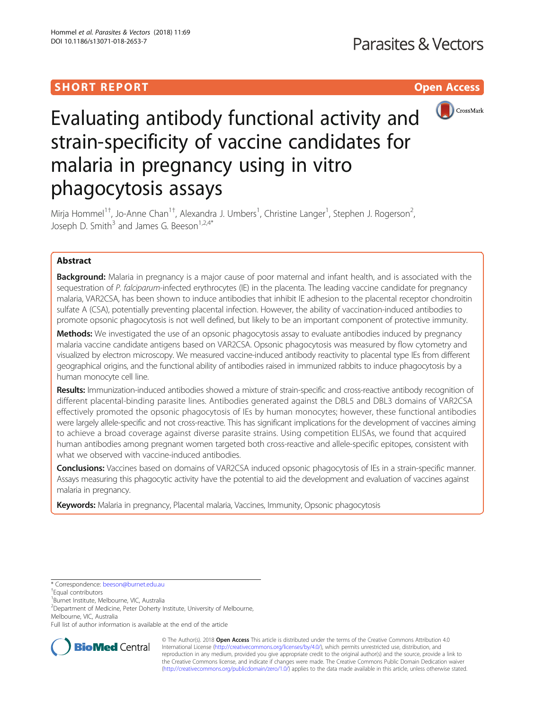## SHORT REPORT NEWSTERS AND THE SHORT CONTROL CONTROL CONTROL CONTROL CONTROL CONTROL CONTROL CONTROL CONTROL CO



# Evaluating antibody functional activity and strain-specificity of vaccine candidates for malaria in pregnancy using in vitro phagocytosis assays

Mirja Hommel<sup>1†</sup>, Jo-Anne Chan<sup>1†</sup>, Alexandra J. Umbers<sup>1</sup>, Christine Langer<sup>1</sup>, Stephen J. Rogerson<sup>2</sup> , Joseph D. Smith $3$  and James G. Beeson<sup>1,2,4\*</sup>

## Abstract

Background: Malaria in pregnancy is a major cause of poor maternal and infant health, and is associated with the sequestration of P. falciparum-infected erythrocytes (IE) in the placenta. The leading vaccine candidate for pregnancy malaria, VAR2CSA, has been shown to induce antibodies that inhibit IE adhesion to the placental receptor chondroitin sulfate A (CSA), potentially preventing placental infection. However, the ability of vaccination-induced antibodies to promote opsonic phagocytosis is not well defined, but likely to be an important component of protective immunity.

Methods: We investigated the use of an opsonic phagocytosis assay to evaluate antibodies induced by pregnancy malaria vaccine candidate antigens based on VAR2CSA. Opsonic phagocytosis was measured by flow cytometry and visualized by electron microscopy. We measured vaccine-induced antibody reactivity to placental type IEs from different geographical origins, and the functional ability of antibodies raised in immunized rabbits to induce phagocytosis by a human monocyte cell line.

Results: Immunization-induced antibodies showed a mixture of strain-specific and cross-reactive antibody recognition of different placental-binding parasite lines. Antibodies generated against the DBL5 and DBL3 domains of VAR2CSA effectively promoted the opsonic phagocytosis of IEs by human monocytes; however, these functional antibodies were largely allele-specific and not cross-reactive. This has significant implications for the development of vaccines aiming to achieve a broad coverage against diverse parasite strains. Using competition ELISAs, we found that acquired human antibodies among pregnant women targeted both cross-reactive and allele-specific epitopes, consistent with what we observed with vaccine-induced antibodies.

Conclusions: Vaccines based on domains of VAR2CSA induced opsonic phagocytosis of IEs in a strain-specific manner. Assays measuring this phagocytic activity have the potential to aid the development and evaluation of vaccines against malaria in pregnancy.

Keywords: Malaria in pregnancy, Placental malaria, Vaccines, Immunity, Opsonic phagocytosis

Full list of author information is available at the end of the article



© The Author(s). 2018 Open Access This article is distributed under the terms of the Creative Commons Attribution 4.0 International License [\(http://creativecommons.org/licenses/by/4.0/](http://creativecommons.org/licenses/by/4.0/)), which permits unrestricted use, distribution, and reproduction in any medium, provided you give appropriate credit to the original author(s) and the source, provide a link to the Creative Commons license, and indicate if changes were made. The Creative Commons Public Domain Dedication waiver [\(http://creativecommons.org/publicdomain/zero/1.0/](http://creativecommons.org/publicdomain/zero/1.0/)) applies to the data made available in this article, unless otherwise stated.

<sup>\*</sup> Correspondence: [beeson@burnet.edu.au](mailto:beeson@burnet.edu.au) †

<sup>&</sup>lt;sup>†</sup>Equal contributors

<sup>1</sup> Burnet Institute, Melbourne, VIC, Australia

<sup>&</sup>lt;sup>2</sup>Department of Medicine, Peter Doherty Institute, University of Melbourne, Melbourne, VIC, Australia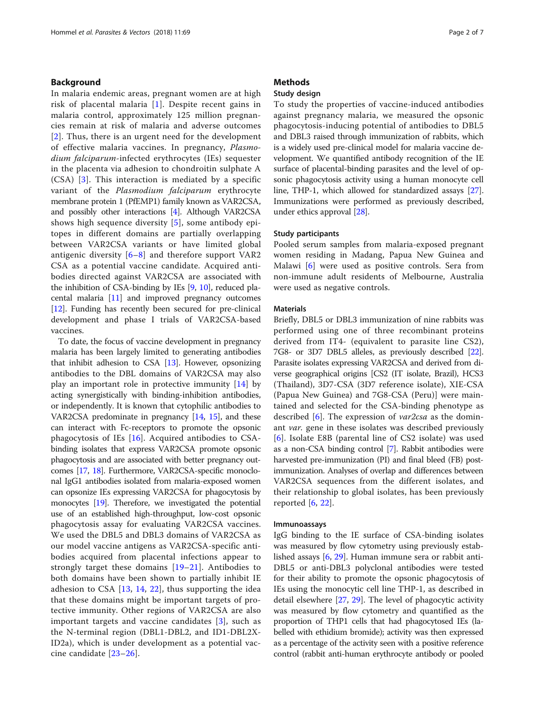## Background

In malaria endemic areas, pregnant women are at high risk of placental malaria [\[1\]](#page-6-0). Despite recent gains in malaria control, approximately 125 million pregnancies remain at risk of malaria and adverse outcomes [[2](#page-6-0)]. Thus, there is an urgent need for the development of effective malaria vaccines. In pregnancy, Plasmodium falciparum-infected erythrocytes (IEs) sequester in the placenta via adhesion to chondroitin sulphate A (CSA) [[3\]](#page-6-0). This interaction is mediated by a specific variant of the Plasmodium falciparum erythrocyte membrane protein 1 (PfEMP1) family known as VAR2CSA, and possibly other interactions [[4](#page-6-0)]. Although VAR2CSA shows high sequence diversity [[5\]](#page-6-0), some antibody epitopes in different domains are partially overlapping between VAR2CSA variants or have limited global antigenic diversity  $[6-8]$  $[6-8]$  $[6-8]$  $[6-8]$  $[6-8]$  and therefore support VAR2 CSA as a potential vaccine candidate. Acquired antibodies directed against VAR2CSA are associated with the inhibition of CSA-binding by IEs [\[9,](#page-6-0) [10\]](#page-6-0), reduced placental malaria [[11](#page-6-0)] and improved pregnancy outcomes [[12](#page-6-0)]. Funding has recently been secured for pre-clinical development and phase I trials of VAR2CSA-based vaccines.

To date, the focus of vaccine development in pregnancy malaria has been largely limited to generating antibodies that inhibit adhesion to CSA [\[13\]](#page-6-0). However, opsonizing antibodies to the DBL domains of VAR2CSA may also play an important role in protective immunity  $[14]$  $[14]$  by acting synergistically with binding-inhibition antibodies, or independently. It is known that cytophilic antibodies to VAR2CSA predominate in pregnancy [\[14,](#page-6-0) [15](#page-6-0)], and these can interact with Fc-receptors to promote the opsonic phagocytosis of IEs [\[16](#page-6-0)]. Acquired antibodies to CSAbinding isolates that express VAR2CSA promote opsonic phagocytosis and are associated with better pregnancy outcomes [\[17,](#page-6-0) [18](#page-6-0)]. Furthermore, VAR2CSA-specific monoclonal IgG1 antibodies isolated from malaria-exposed women can opsonize IEs expressing VAR2CSA for phagocytosis by monocytes [\[19](#page-6-0)]. Therefore, we investigated the potential use of an established high-throughput, low-cost opsonic phagocytosis assay for evaluating VAR2CSA vaccines. We used the DBL5 and DBL3 domains of VAR2CSA as our model vaccine antigens as VAR2CSA-specific antibodies acquired from placental infections appear to strongly target these domains  $[19-21]$  $[19-21]$  $[19-21]$  $[19-21]$  $[19-21]$ . Antibodies to both domains have been shown to partially inhibit IE adhesion to CSA  $[13, 14, 22]$  $[13, 14, 22]$  $[13, 14, 22]$  $[13, 14, 22]$  $[13, 14, 22]$  $[13, 14, 22]$ , thus supporting the idea that these domains might be important targets of protective immunity. Other regions of VAR2CSA are also important targets and vaccine candidates [\[3](#page-6-0)], such as the N-terminal region (DBL1-DBL2, and ID1-DBL2X-ID2a), which is under development as a potential vaccine candidate [[23](#page-6-0)–[26](#page-6-0)].

## **Methods**

## Study design

To study the properties of vaccine-induced antibodies against pregnancy malaria, we measured the opsonic phagocytosis-inducing potential of antibodies to DBL5 and DBL3 raised through immunization of rabbits, which is a widely used pre-clinical model for malaria vaccine development. We quantified antibody recognition of the IE surface of placental-binding parasites and the level of opsonic phagocytosis activity using a human monocyte cell line, THP-1, which allowed for standardized assays [[27](#page-6-0)]. Immunizations were performed as previously described, under ethics approval [[28](#page-6-0)].

### Study participants

Pooled serum samples from malaria-exposed pregnant women residing in Madang, Papua New Guinea and Malawi [\[6](#page-6-0)] were used as positive controls. Sera from non-immune adult residents of Melbourne, Australia were used as negative controls.

#### **Materials**

Briefly, DBL5 or DBL3 immunization of nine rabbits was performed using one of three recombinant proteins derived from IT4- (equivalent to parasite line CS2), 7G8- or 3D7 DBL5 alleles, as previously described [\[22](#page-6-0)]. Parasite isolates expressing VAR2CSA and derived from diverse geographical origins [CS2 (IT isolate, Brazil), HCS3 (Thailand), 3D7-CSA (3D7 reference isolate), XIE-CSA (Papua New Guinea) and 7G8-CSA (Peru)] were maintained and selected for the CSA-binding phenotype as described  $[6]$  $[6]$  $[6]$ . The expression of *var2csa* as the dominant var. gene in these isolates was described previously [[6](#page-6-0)]. Isolate E8B (parental line of CS2 isolate) was used as a non-CSA binding control [[7](#page-6-0)]. Rabbit antibodies were harvested pre-immunization (PI) and final bleed (FB) postimmunization. Analyses of overlap and differences between VAR2CSA sequences from the different isolates, and their relationship to global isolates, has been previously reported  $[6, 22]$  $[6, 22]$  $[6, 22]$  $[6, 22]$ .

#### Immunoassays

IgG binding to the IE surface of CSA-binding isolates was measured by flow cytometry using previously established assays [\[6](#page-6-0), [29](#page-6-0)]. Human immune sera or rabbit anti-DBL5 or anti-DBL3 polyclonal antibodies were tested for their ability to promote the opsonic phagocytosis of IEs using the monocytic cell line THP-1, as described in detail elsewhere [\[27](#page-6-0), [29](#page-6-0)]. The level of phagocytic activity was measured by flow cytometry and quantified as the proportion of THP1 cells that had phagocytosed IEs (labelled with ethidium bromide); activity was then expressed as a percentage of the activity seen with a positive reference control (rabbit anti-human erythrocyte antibody or pooled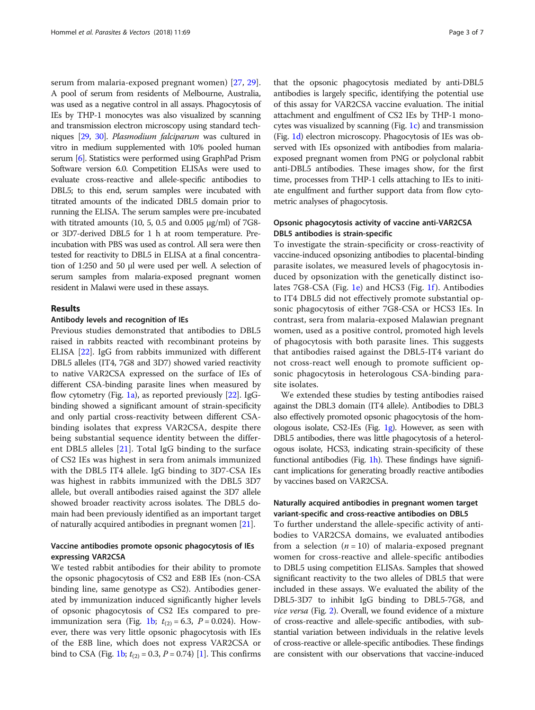serum from malaria-exposed pregnant women) [[27,](#page-6-0) [29](#page-6-0)]. A pool of serum from residents of Melbourne, Australia, was used as a negative control in all assays. Phagocytosis of IEs by THP-1 monocytes was also visualized by scanning and transmission electron microscopy using standard techniques [\[29](#page-6-0), [30](#page-6-0)]. Plasmodium falciparum was cultured in vitro in medium supplemented with 10% pooled human serum [\[6\]](#page-6-0). Statistics were performed using GraphPad Prism Software version 6.0. Competition ELISAs were used to evaluate cross-reactive and allele-specific antibodies to DBL5; to this end, serum samples were incubated with titrated amounts of the indicated DBL5 domain prior to running the ELISA. The serum samples were pre-incubated with titrated amounts (10, 5, 0.5 and 0.005 μg/ml) of 7G8 or 3D7-derived DBL5 for 1 h at room temperature. Preincubation with PBS was used as control. All sera were then tested for reactivity to DBL5 in ELISA at a final concentration of 1:250 and 50 μl were used per well. A selection of serum samples from malaria-exposed pregnant women resident in Malawi were used in these assays.

## Results

#### Antibody levels and recognition of IEs

Previous studies demonstrated that antibodies to DBL5 raised in rabbits reacted with recombinant proteins by ELISA [\[22\]](#page-6-0). IgG from rabbits immunized with different DBL5 alleles (IT4, 7G8 and 3D7) showed varied reactivity to native VAR2CSA expressed on the surface of IEs of different CSA-binding parasite lines when measured by flow cytometry (Fig. [1a\)](#page-3-0), as reported previously  $[22]$ . IgGbinding showed a significant amount of strain-specificity and only partial cross-reactivity between different CSAbinding isolates that express VAR2CSA, despite there being substantial sequence identity between the different DBL5 alleles [[21](#page-6-0)]. Total IgG binding to the surface of CS2 IEs was highest in sera from animals immunized with the DBL5 IT4 allele. IgG binding to 3D7-CSA IEs was highest in rabbits immunized with the DBL5 3D7 allele, but overall antibodies raised against the 3D7 allele showed broader reactivity across isolates. The DBL5 domain had been previously identified as an important target of naturally acquired antibodies in pregnant women [\[21](#page-6-0)].

## Vaccine antibodies promote opsonic phagocytosis of IEs expressing VAR2CSA

We tested rabbit antibodies for their ability to promote the opsonic phagocytosis of CS2 and E8B IEs (non-CSA binding line, same genotype as CS2). Antibodies generated by immunization induced significantly higher levels of opsonic phagocytosis of CS2 IEs compared to pre-immunization sera (Fig. [1b;](#page-3-0)  $t_{(2)} = 6.3$ ,  $P = 0.024$ ). However, there was very little opsonic phagocytosis with IEs of the E8B line, which does not express VAR2CSA or bind to CSA (Fig. [1b](#page-3-0);  $t_{(2)} = 0.3$ ,  $P = 0.74$ ) [[1\]](#page-6-0). This confirms

that the opsonic phagocytosis mediated by anti-DBL5 antibodies is largely specific, identifying the potential use of this assay for VAR2CSA vaccine evaluation. The initial attachment and engulfment of CS2 IEs by THP-1 monocytes was visualized by scanning (Fig. [1c\)](#page-3-0) and transmission (Fig. [1d\)](#page-3-0) electron microscopy. Phagocytosis of IEs was observed with IEs opsonized with antibodies from malariaexposed pregnant women from PNG or polyclonal rabbit anti-DBL5 antibodies. These images show, for the first time, processes from THP-1 cells attaching to IEs to initiate engulfment and further support data from flow cytometric analyses of phagocytosis.

## Opsonic phagocytosis activity of vaccine anti-VAR2CSA DBL5 antibodies is strain-specific

To investigate the strain-specificity or cross-reactivity of vaccine-induced opsonizing antibodies to placental-binding parasite isolates, we measured levels of phagocytosis induced by opsonization with the genetically distinct isolates 7G8-CSA (Fig. [1e](#page-3-0)) and HCS3 (Fig. [1f](#page-3-0)). Antibodies to IT4 DBL5 did not effectively promote substantial opsonic phagocytosis of either 7G8-CSA or HCS3 IEs. In contrast, sera from malaria-exposed Malawian pregnant women, used as a positive control, promoted high levels of phagocytosis with both parasite lines. This suggests that antibodies raised against the DBL5-IT4 variant do not cross-react well enough to promote sufficient opsonic phagocytosis in heterologous CSA-binding parasite isolates.

We extended these studies by testing antibodies raised against the DBL3 domain (IT4 allele). Antibodies to DBL3 also effectively promoted opsonic phagocytosis of the homologous isolate, CS2-IEs (Fig. [1g\)](#page-3-0). However, as seen with DBL5 antibodies, there was little phagocytosis of a heterologous isolate, HCS3, indicating strain-specificity of these functional antibodies (Fig. [1h\)](#page-3-0). These findings have significant implications for generating broadly reactive antibodies by vaccines based on VAR2CSA.

## Naturally acquired antibodies in pregnant women target variant-specific and cross-reactive antibodies on DBL5

To further understand the allele-specific activity of antibodies to VAR2CSA domains, we evaluated antibodies from a selection  $(n = 10)$  of malaria-exposed pregnant women for cross-reactive and allele-specific antibodies to DBL5 using competition ELISAs. Samples that showed significant reactivity to the two alleles of DBL5 that were included in these assays. We evaluated the ability of the DBL5-3D7 to inhibit IgG binding to DBL5-7G8, and vice versa (Fig. [2](#page-4-0)). Overall, we found evidence of a mixture of cross-reactive and allele-specific antibodies, with substantial variation between individuals in the relative levels of cross-reactive or allele-specific antibodies. These findings are consistent with our observations that vaccine-induced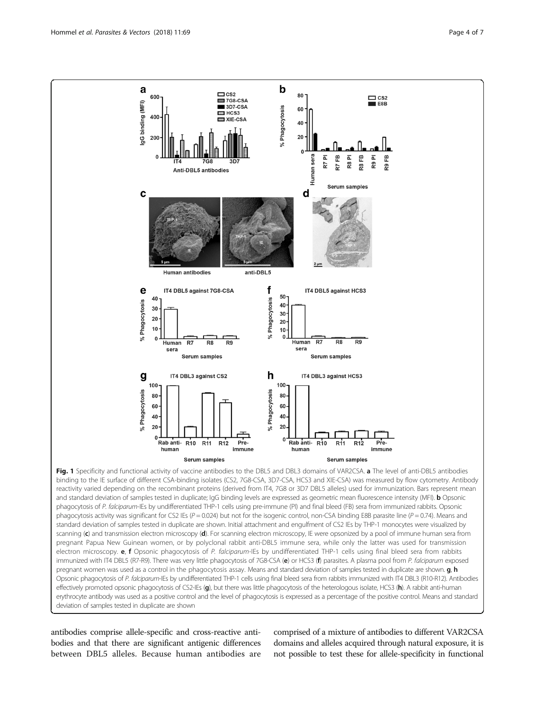<span id="page-3-0"></span>

binding to the IE surface of different CSA-binding isolates (CS2, 7G8-CSA, 3D7-CSA, HCS3 and XIE-CSA) was measured by flow cytometry. Antibody reactivity varied depending on the recombinant proteins (derived from IT4, 7G8 or 3D7 DBL5 alleles) used for immunization. Bars represent mean and standard deviation of samples tested in duplicate; IgG binding levels are expressed as geometric mean fluorescence intensity (MFI). **b** Opsonic phagocytosis of P. falciparum-IEs by undifferentiated THP-1 cells using pre-immune (PI) and final bleed (FB) sera from immunized rabbits. Opsonic phagocytosis activity was significant for CS2 IEs ( $P = 0.024$ ) but not for the isogenic control, non-CSA binding E8B parasite line ( $P = 0.74$ ). Means and standard deviation of samples tested in duplicate are shown. Initial attachment and engulfment of CS2 IEs by THP-1 monocytes were visualized by scanning (c) and transmission electron microscopy (d). For scanning electron microscopy, IE were opsonized by a pool of immune human sera from pregnant Papua New Guinean women, or by polyclonal rabbit anti-DBL5 immune sera, while only the latter was used for transmission electron microscopy. **e, f** Opsonic phagocytosis of P. falciparum-IEs by undifferentiated THP-1 cells using final bleed sera from rabbits immunized with IT4 DBL5 (R7-R9). There was very little phagocytosis of 7G8-CSA (e) or HCS3 (f) parasites. A plasma pool from P. falciparum exposed pregnant women was used as a control in the phagocytosis assay. Means and standard deviation of samples tested in duplicate are shown. **g**, **h** Opsonic phagocytosis of P. falciparum-IEs by undifferentiated THP-1 cells using final bleed sera from rabbits immunized with IT4 DBL3 (R10-R12). Antibodies effectively promoted opsonic phagocytosis of CS2-IEs (g), but there was little phagocytosis of the heterologous isolate, HCS3 (h). A rabbit anti-human erythrocyte antibody was used as a positive control and the level of phagocytosis is expressed as a percentage of the positive control. Means and standard deviation of samples tested in duplicate are shown

antibodies comprise allele-specific and cross-reactive antibodies and that there are significant antigenic differences between DBL5 alleles. Because human antibodies are

comprised of a mixture of antibodies to different VAR2CSA domains and alleles acquired through natural exposure, it is not possible to test these for allele-specificity in functional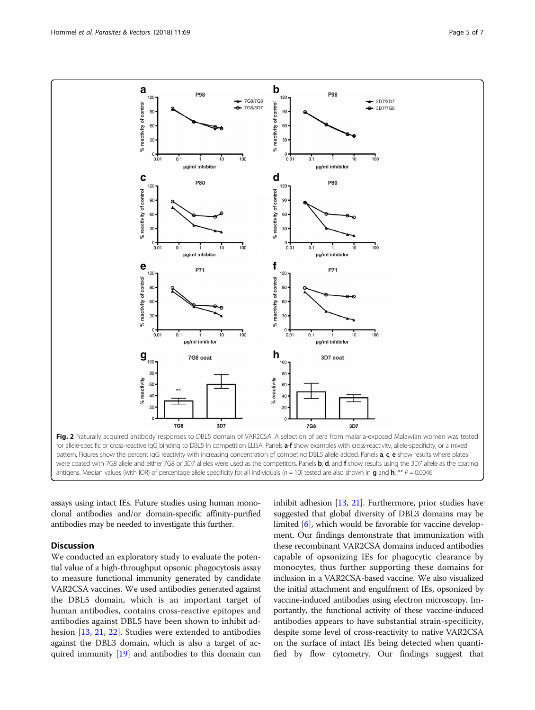<span id="page-4-0"></span>

assays using intact IEs. Future studies using human monoclonal antibodies and/or domain-specific affinity-purified antibodies may be needed to investigate this further.

## **Discussion**

We conducted an exploratory study to evaluate the potential value of a high-throughput opsonic phagocytosis assay to measure functional immunity generated by candidate VAR2CSA vaccines. We used antibodies generated against the DBL5 domain, which is an important target of human antibodies, contains cross-reactive epitopes and antibodies against DBL5 have been shown to inhibit adhesion [\[13](#page-6-0), [21,](#page-6-0) [22\]](#page-6-0). Studies were extended to antibodies against the DBL3 domain, which is also a target of acquired immunity [\[19\]](#page-6-0) and antibodies to this domain can inhibit adhesion [\[13,](#page-6-0) [21\]](#page-6-0). Furthermore, prior studies have suggested that global diversity of DBL3 domains may be limited [[6\]](#page-6-0), which would be favorable for vaccine development. Our findings demonstrate that immunization with these recombinant VAR2CSA domains induced antibodies capable of opsonizing IEs for phagocytic clearance by monocytes, thus further supporting these domains for inclusion in a VAR2CSA-based vaccine. We also visualized the initial attachment and engulfment of IEs, opsonized by vaccine-induced antibodies using electron microscopy. Importantly, the functional activity of these vaccine-induced antibodies appears to have substantial strain-specificity, despite some level of cross-reactivity to native VAR2CSA on the surface of intact IEs being detected when quantified by flow cytometry. Our findings suggest that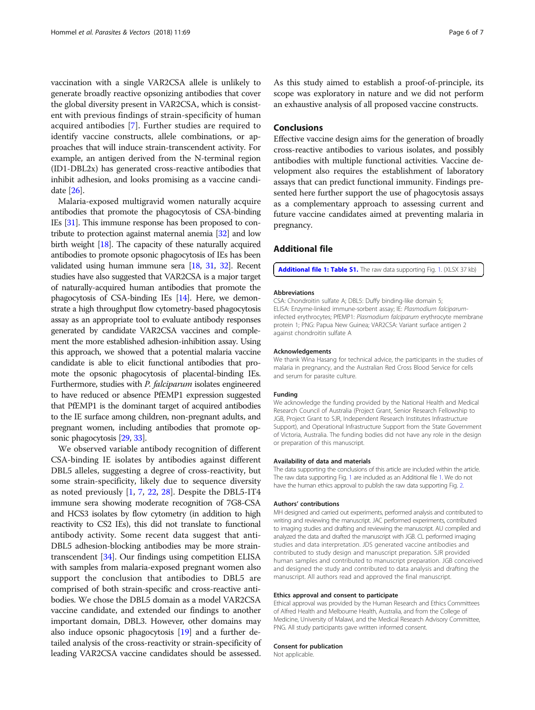vaccination with a single VAR2CSA allele is unlikely to generate broadly reactive opsonizing antibodies that cover the global diversity present in VAR2CSA, which is consistent with previous findings of strain-specificity of human acquired antibodies [[7\]](#page-6-0). Further studies are required to identify vaccine constructs, allele combinations, or approaches that will induce strain-transcendent activity. For example, an antigen derived from the N-terminal region (ID1-DBL2x) has generated cross-reactive antibodies that inhibit adhesion, and looks promising as a vaccine candidate [\[26\]](#page-6-0).

Malaria-exposed multigravid women naturally acquire antibodies that promote the phagocytosis of CSA-binding IEs [[31](#page-6-0)]. This immune response has been proposed to contribute to protection against maternal anemia [\[32\]](#page-6-0) and low birth weight [[18](#page-6-0)]. The capacity of these naturally acquired antibodies to promote opsonic phagocytosis of IEs has been validated using human immune sera [\[18,](#page-6-0) [31](#page-6-0), [32](#page-6-0)]. Recent studies have also suggested that VAR2CSA is a major target of naturally-acquired human antibodies that promote the phagocytosis of CSA-binding IEs [\[14](#page-6-0)]. Here, we demonstrate a high throughput flow cytometry-based phagocytosis assay as an appropriate tool to evaluate antibody responses generated by candidate VAR2CSA vaccines and complement the more established adhesion-inhibition assay. Using this approach, we showed that a potential malaria vaccine candidate is able to elicit functional antibodies that promote the opsonic phagocytosis of placental-binding IEs. Furthermore, studies with *P. falciparum* isolates engineered to have reduced or absence PfEMP1 expression suggested that PfEMP1 is the dominant target of acquired antibodies to the IE surface among children, non-pregnant adults, and pregnant women, including antibodies that promote opsonic phagocytosis [\[29](#page-6-0), [33](#page-6-0)].

We observed variable antibody recognition of different CSA-binding IE isolates by antibodies against different DBL5 alleles, suggesting a degree of cross-reactivity, but some strain-specificity, likely due to sequence diversity as noted previously [\[1](#page-6-0), [7,](#page-6-0) [22](#page-6-0), [28\]](#page-6-0). Despite the DBL5-IT4 immune sera showing moderate recognition of 7G8-CSA and HCS3 isolates by flow cytometry (in addition to high reactivity to CS2 IEs), this did not translate to functional antibody activity. Some recent data suggest that anti-DBL5 adhesion-blocking antibodies may be more straintranscendent [\[34\]](#page-6-0). Our findings using competition ELISA with samples from malaria-exposed pregnant women also support the conclusion that antibodies to DBL5 are comprised of both strain-specific and cross-reactive antibodies. We chose the DBL5 domain as a model VAR2CSA vaccine candidate, and extended our findings to another important domain, DBL3. However, other domains may also induce opsonic phagocytosis [[19\]](#page-6-0) and a further detailed analysis of the cross-reactivity or strain-specificity of leading VAR2CSA vaccine candidates should be assessed.

As this study aimed to establish a proof-of-principle, its scope was exploratory in nature and we did not perform an exhaustive analysis of all proposed vaccine constructs.

## Conclusions

Effective vaccine design aims for the generation of broadly cross-reactive antibodies to various isolates, and possibly antibodies with multiple functional activities. Vaccine development also requires the establishment of laboratory assays that can predict functional immunity. Findings presented here further support the use of phagocytosis assays as a complementary approach to assessing current and future vaccine candidates aimed at preventing malaria in pregnancy.

## Additional file

[Additional file 1: Table S1.](dx.doi.org/10.1186/s13071-018-2653-7) The raw data supporting Fig. [1.](#page-3-0) (XLSX 37 kb)

#### Abbreviations

CSA: Chondroitin sulfate A; DBL5: Duffy binding-like domain 5; ELISA: Enzyme-linked immune-sorbent assay; IE: Plasmodium falciparuminfected erythrocytes; PfEMP1: Plasmodium falciparum erythrocyte membrane protein 1; PNG: Papua New Guinea; VAR2CSA: Variant surface antigen 2 against chondroitin sulfate A

#### Acknowledgements

We thank Wina Hasang for technical advice, the participants in the studies of malaria in pregnancy, and the Australian Red Cross Blood Service for cells and serum for parasite culture.

#### Funding

We acknowledge the funding provided by the National Health and Medical Research Council of Australia (Project Grant, Senior Research Fellowship to JGB, Project Grant to SJR, Independent Research Institutes Infrastructure Support), and Operational Infrastructure Support from the State Government of Victoria, Australia. The funding bodies did not have any role in the design or preparation of this manuscript.

#### Availability of data and materials

The data supporting the conclusions of this article are included within the article. The raw data supporting Fig. [1](#page-3-0) are included as an Additional file 1. We do not have the human ethics approval to publish the raw data supporting Fig. [2](#page-4-0).

#### Authors' contributions

MH designed and carried out experiments, performed analysis and contributed to writing and reviewing the manuscript. JAC performed experiments, contributed to imaging studies and drafting and reviewing the manuscript. AU compiled and analyzed the data and drafted the manuscript with JGB. CL performed imaging studies and data interpretation. JDS generated vaccine antibodies and contributed to study design and manuscript preparation. SJR provided human samples and contributed to manuscript preparation. JGB conceived and designed the study and contributed to data analysis and drafting the manuscript. All authors read and approved the final manuscript.

#### Ethics approval and consent to participate

Ethical approval was provided by the Human Research and Ethics Committees of Alfred Health and Melbourne Health, Australia, and from the College of Medicine, University of Malawi, and the Medical Research Advisory Committee, PNG. All study participants gave written informed consent.

#### Consent for publication

Not applicable.